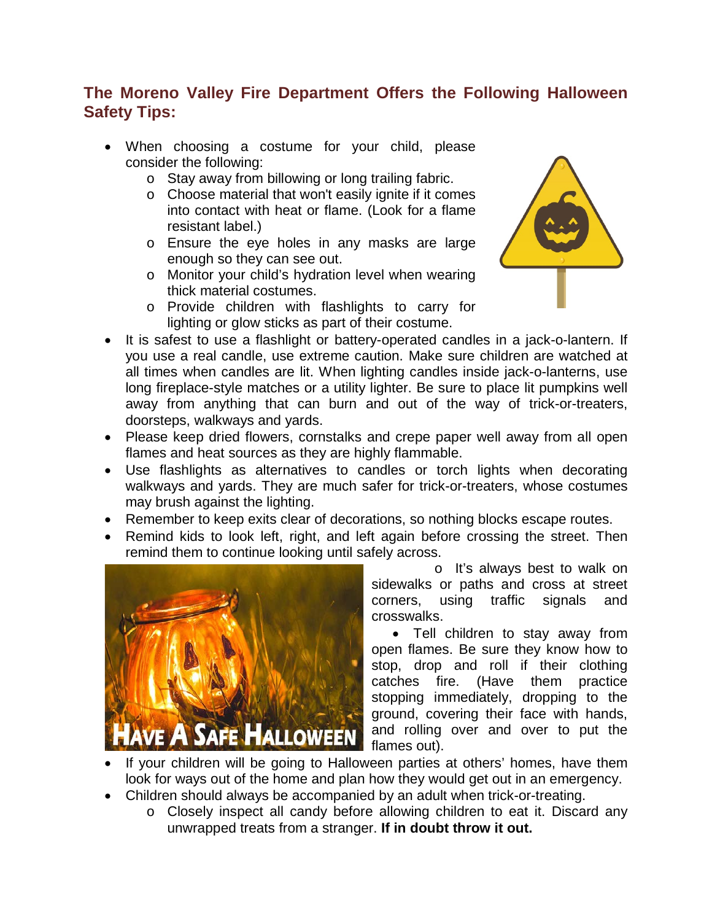# **The Moreno Valley Fire Department Offers the Following Halloween Safety Tips:**

- When choosing a costume for your child, please consider the following:
	- o Stay away from billowing or long trailing fabric.
	- o Choose material that won't easily ignite if it comes into contact with heat or flame. (Look for a flame resistant label.)
	- o Ensure the eye holes in any masks are large enough so they can see out.
	- o Monitor your child's hydration level when wearing thick material costumes.
	- o Provide children with flashlights to carry for lighting or glow sticks as part of their costume.



- It is safest to use a flashlight or battery-operated candles in a jack-o-lantern. If you use a real candle, use extreme caution. Make sure children are watched at all times when candles are lit. When lighting candles inside jack-o-lanterns, use long fireplace-style matches or a utility lighter. Be sure to place lit pumpkins well away from anything that can burn and out of the way of trick-or-treaters, doorsteps, walkways and yards.
- Please keep dried flowers, cornstalks and crepe paper well away from all open flames and heat sources as they are highly flammable.
- Use flashlights as alternatives to candles or torch lights when decorating walkways and yards. They are much safer for trick-or-treaters, whose costumes may brush against the lighting.
- Remember to keep exits clear of decorations, so nothing blocks escape routes.
- Remind kids to look left, right, and left again before crossing the street. Then remind them to continue looking until safely across.



o It's always best to walk on sidewalks or paths and cross at street corners, using traffic signals and crosswalks.

• Tell children to stay away from open flames. Be sure they know how to stop, drop and roll if their clothing catches fire. (Have them practice stopping immediately, dropping to the ground, covering their face with hands, and rolling over and over to put the flames out).

- If your children will be going to Halloween parties at others' homes, have them look for ways out of the home and plan how they would get out in an emergency.
- Children should always be accompanied by an adult when trick-or-treating.
	- o Closely inspect all candy before allowing children to eat it. Discard any unwrapped treats from a stranger. **If in doubt throw it out.**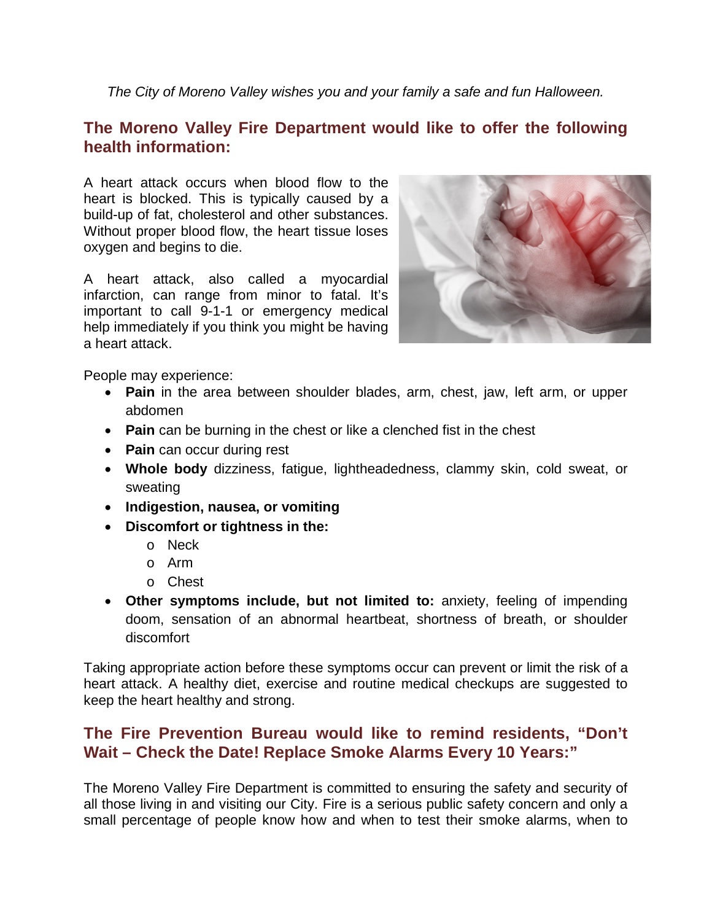*The City of Moreno Valley wishes you and your family a safe and fun Halloween.*

### **The Moreno Valley Fire Department would like to offer the following health information:**

A heart attack occurs when blood flow to the heart is blocked. This is typically caused by a build-up of fat, cholesterol and other substances. Without proper blood flow, the heart tissue loses oxygen and begins to die.

A heart attack, also called a myocardial infarction, can range from minor to fatal. It's important to call 9-1-1 or emergency medical help immediately if you think you might be having a heart attack.



People may experience:

- **Pain** in the area between shoulder blades, arm, chest, jaw, left arm, or upper abdomen
- **Pain** can be burning in the chest or like a clenched fist in the chest
- **Pain** can occur during rest
- **Whole body** dizziness, fatigue, lightheadedness, clammy skin, cold sweat, or sweating
- **Indigestion, nausea, or vomiting**
- **Discomfort or tightness in the:**
	- o Neck
	- o Arm
	- o Chest
- **Other symptoms include, but not limited to:** anxiety, feeling of impending doom, sensation of an abnormal heartbeat, shortness of breath, or shoulder discomfort

Taking appropriate action before these symptoms occur can prevent or limit the risk of a heart attack. A healthy diet, exercise and routine medical checkups are suggested to keep the heart healthy and strong.

# **The Fire Prevention Bureau would like to remind residents, "Don't Wait – Check the Date! Replace Smoke Alarms Every 10 Years:"**

The Moreno Valley Fire Department is committed to ensuring the safety and security of all those living in and visiting our City. Fire is a serious public safety concern and only a small percentage of people know how and when to test their smoke alarms, when to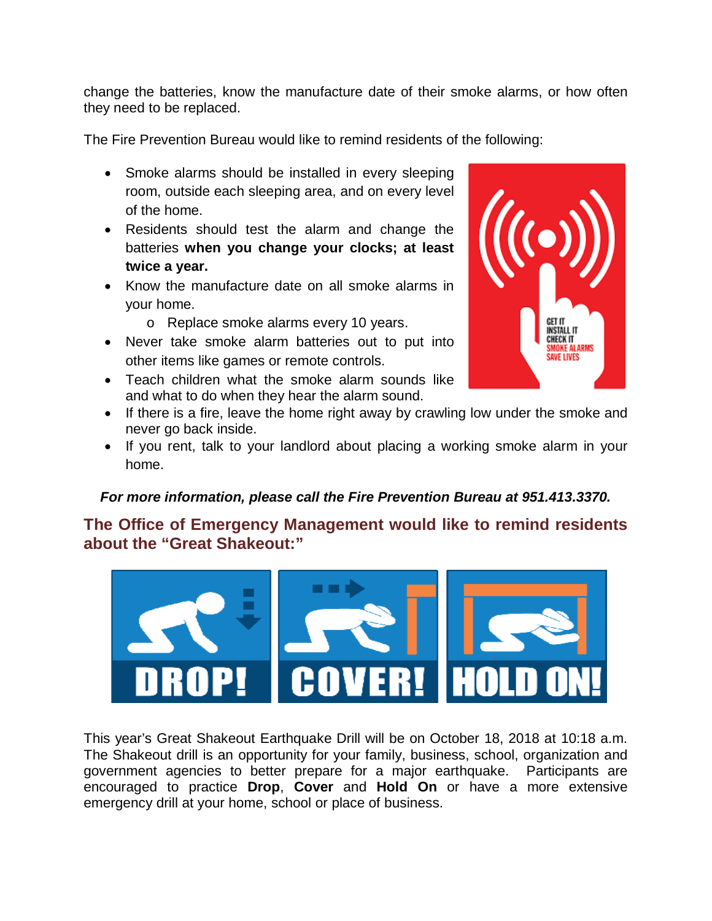change the batteries, know the manufacture date of their smoke alarms, or how often they need to be replaced.

The Fire Prevention Bureau would like to remind residents of the following:

- Smoke alarms should be installed in every sleeping room, outside each sleeping area, and on every level of the home.
- Residents should test the alarm and change the batteries **when you change your clocks; at least twice a year.**
- Know the manufacture date on all smoke alarms in your home.
	- o Replace smoke alarms every 10 years.
- Never take smoke alarm batteries out to put into other items like games or remote controls.
- Teach children what the smoke alarm sounds like and what to do when they hear the alarm sound.
- If there is a fire, leave the home right away by crawling low under the smoke and never go back inside.
- If you rent, talk to your landlord about placing a working smoke alarm in your home.

#### *For more information, please call the Fire Prevention Bureau at 951.413.3370.*

### **The Office of Emergency Management would like to remind residents about the "Great Shakeout:"**



This year's Great Shakeout Earthquake Drill will be on October 18, 2018 at 10:18 a.m. The Shakeout drill is an opportunity for your family, business, school, organization and government agencies to better prepare for a major earthquake. Participants are encouraged to practice **Drop**, **Cover** and **Hold On** or have a more extensive emergency drill at your home, school or place of business.